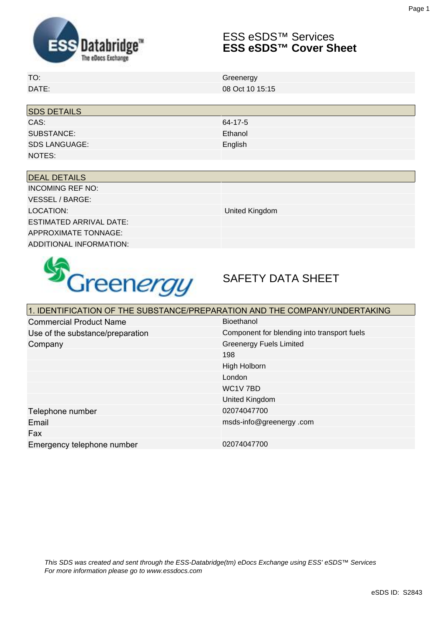

## ESS eSDS™ Services **ESS eSDS™ Cover Sheet**

| TO.          | Greenerav       |
|--------------|-----------------|
| <b>DATE:</b> | 08 Oct 10 15:15 |

| <b>SDS DETAILS</b>   |         |  |
|----------------------|---------|--|
| CAS:                 | 64-17-5 |  |
| SUBSTANCE:           | Ethanol |  |
| <b>SDS LANGUAGE:</b> | English |  |
| NOTES:               |         |  |

| <b>DEAL DETAILS</b>            |                |
|--------------------------------|----------------|
| <b>INCOMING REF NO:</b>        |                |
| VESSEL / BARGE: I              |                |
| LOCATION:                      | United Kingdom |
| <b>ESTIMATED ARRIVAL DATE:</b> |                |
| <b>APPROXIMATE TONNAGE:</b>    |                |
| ADDITIONAL INFORMATION:        |                |



# SAFETY DATA SHEET

| 1. IDENTIFICATION OF THE SUBSTANCE/PREPARATION AND THE COMPANY/UNDERTAKING |                                             |  |
|----------------------------------------------------------------------------|---------------------------------------------|--|
| <b>Commercial Product Name</b>                                             | Bioethanol                                  |  |
| Use of the substance/preparation                                           | Component for blending into transport fuels |  |
| Company                                                                    | <b>Greenergy Fuels Limited</b>              |  |
|                                                                            | 198                                         |  |
|                                                                            | High Holborn                                |  |
|                                                                            | London                                      |  |
|                                                                            | WC1V7BD                                     |  |
|                                                                            | <b>United Kingdom</b>                       |  |
| Telephone number                                                           | 02074047700                                 |  |
| Email                                                                      | msds-info@greenergy.com                     |  |
| Fax                                                                        |                                             |  |
| Emergency telephone number                                                 | 02074047700                                 |  |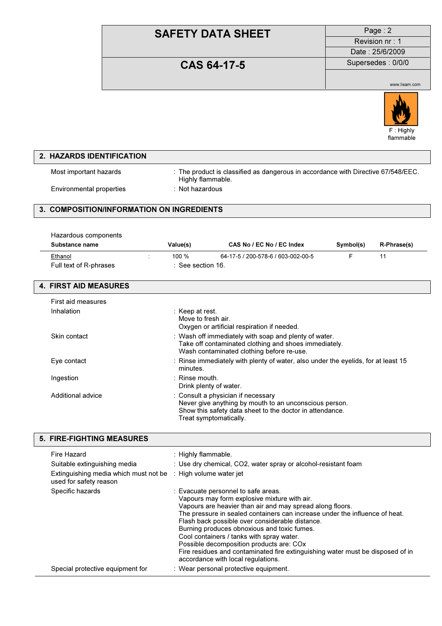Revision nr : 1 Date : 25/6/2009

## **CAS 64-17-5** Supersedes : 0/0/0

www.lisam.com



### 2. HAZARDS IDENTIFICATION Most important hazards : The product is classified as dangerous in accordance with Directive 67/548/EEC. Highly flammable.

Environmental properties : Not hazardous

### 3. COMPOSITION/INFORMATION ON INGREDIENTS

| Hazardous components   |                   |                                    |           |                    |
|------------------------|-------------------|------------------------------------|-----------|--------------------|
| Substance name         | Value(s)          | CAS No / EC No / EC Index          | Symbol(s) | <b>R-Phrase(s)</b> |
| Ethanol                | 100 $%$           | 64-17-5 / 200-578-6 / 603-002-00-5 |           |                    |
| Full text of R-phrases | : See section 16. |                                    |           |                    |

#### 4. FIRST AID MEASURES

| First aid measures |                                                                                                                                                                                    |
|--------------------|------------------------------------------------------------------------------------------------------------------------------------------------------------------------------------|
| Inhalation         | : Keep at rest.<br>Move to fresh air.<br>Oxygen or artificial respiration if needed.                                                                                               |
| Skin contact       | : Wash off immediately with soap and plenty of water.<br>Take off contaminated clothing and shoes immediately.<br>Wash contaminated clothing before re-use.                        |
| Eye contact        | : Rinse immediately with plenty of water, also under the eyelids, for at least 15<br>minutes.                                                                                      |
| Ingestion          | $\therefore$ Rinse mouth.<br>Drink plenty of water.                                                                                                                                |
| Additional advice  | : Consult a physician if necessary<br>Never give anything by mouth to an unconscious person.<br>Show this safety data sheet to the doctor in attendance.<br>Treat symptomatically. |

| Fire Hazard                                                                                        | : Highly flammable.                                                                                                                                                                                                                                                                                                                                                                                                                                                                                                                                |
|----------------------------------------------------------------------------------------------------|----------------------------------------------------------------------------------------------------------------------------------------------------------------------------------------------------------------------------------------------------------------------------------------------------------------------------------------------------------------------------------------------------------------------------------------------------------------------------------------------------------------------------------------------------|
| Suitable extinguishing media                                                                       | : Use dry chemical, CO2, water spray or alcohol-resistant foam                                                                                                                                                                                                                                                                                                                                                                                                                                                                                     |
| Extinguishing media which must not be $\therefore$ High volume water jet<br>used for safety reason |                                                                                                                                                                                                                                                                                                                                                                                                                                                                                                                                                    |
| Specific hazards                                                                                   | : Evacuate personnel to safe areas.<br>Vapours may form explosive mixture with air.<br>Vapours are heavier than air and may spread along floors.<br>The pressure in sealed containers can increase under the influence of heat.<br>Flash back possible over considerable distance.<br>Burning produces obnoxious and toxic fumes.<br>Cool containers / tanks with spray water.<br>Possible decomposition products are: COx<br>Fire residues and contaminated fire extinguishing water must be disposed of in<br>accordance with local regulations. |
| Special protective equipment for                                                                   | : Wear personal protective equipment.                                                                                                                                                                                                                                                                                                                                                                                                                                                                                                              |

#### 5. FIRE-FIGHTING MEASURES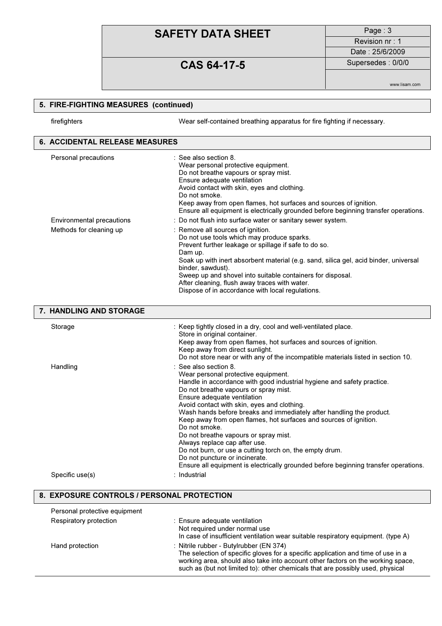Revision nr : 1 Date : 25/6/2009

## CAS 64-17-5 Supersedes : 0/0/0

www.lisam.com

### 5. FIRE-FIGHTING MEASURES (continued) firefighters Wear self-contained breathing apparatus for fire fighting if necessary. 6. ACCIDENTAL RELEASE MEASURES Personal precautions : See also section 8. Wear personal protective equipment. Do not breathe vapours or spray mist. Ensure adequate ventilation Avoid contact with skin, eyes and clothing. Do not smoke. Keep away from open flames, hot surfaces and sources of ignition. Ensure all equipment is electrically grounded before beginning transfer operations. Environmental precautions : Do not flush into surface water or sanitary sewer system. Methods for cleaning up : Remove all sources of ignition. Do not use tools which may produce sparks. Prevent further leakage or spillage if safe to do so. Dam up. Soak up with inert absorbent material (e.g. sand, silica gel, acid binder, universal binder, sawdust). Sweep up and shovel into suitable containers for disposal. After cleaning, flush away traces with water. Dispose of in accordance with local regulations. 7. HANDLING AND STORAGE Storage : Keep tightly closed in a dry, cool and well-ventilated place.

| Storage         | : Keep tightly closed in a dry, cool and well-ventilated place.<br>Store in original container.<br>Keep away from open flames, hot surfaces and sources of ignition.<br>Keep away from direct sunlight.<br>Do not store near or with any of the incompatible materials listed in section 10.                                                                                                                                                                                                                                                                                                                                                                                                         |
|-----------------|------------------------------------------------------------------------------------------------------------------------------------------------------------------------------------------------------------------------------------------------------------------------------------------------------------------------------------------------------------------------------------------------------------------------------------------------------------------------------------------------------------------------------------------------------------------------------------------------------------------------------------------------------------------------------------------------------|
| Handling        | $\therefore$ See also section 8.<br>Wear personal protective equipment.<br>Handle in accordance with good industrial hygiene and safety practice.<br>Do not breathe vapours or spray mist.<br>Ensure adequate ventilation<br>Avoid contact with skin, eyes and clothing.<br>Wash hands before breaks and immediately after handling the product.<br>Keep away from open flames, hot surfaces and sources of ignition.<br>Do not smoke.<br>Do not breathe vapours or spray mist.<br>Always replace cap after use.<br>Do not burn, or use a cutting torch on, the empty drum.<br>Do not puncture or incinerate.<br>Ensure all equipment is electrically grounded before beginning transfer operations. |
| Specific use(s) | : Industrial                                                                                                                                                                                                                                                                                                                                                                                                                                                                                                                                                                                                                                                                                         |
|                 |                                                                                                                                                                                                                                                                                                                                                                                                                                                                                                                                                                                                                                                                                                      |

| Personal protective equipment |                                                                                                                                                                                                                                                                                                  |
|-------------------------------|--------------------------------------------------------------------------------------------------------------------------------------------------------------------------------------------------------------------------------------------------------------------------------------------------|
| Respiratory protection        | : Ensure adequate ventilation<br>Not required under normal use<br>In case of insufficient ventilation wear suitable respiratory equipment. (type A)                                                                                                                                              |
| Hand protection               | : Nitrile rubber - Butylrubber (EN 374)<br>The selection of specific gloves for a specific application and time of use in a<br>working area, should also take into account other factors on the working space,<br>such as (but not limited to): other chemicals that are possibly used, physical |

8. EXPOSURE CONTROLS / PERSONAL PROTECTION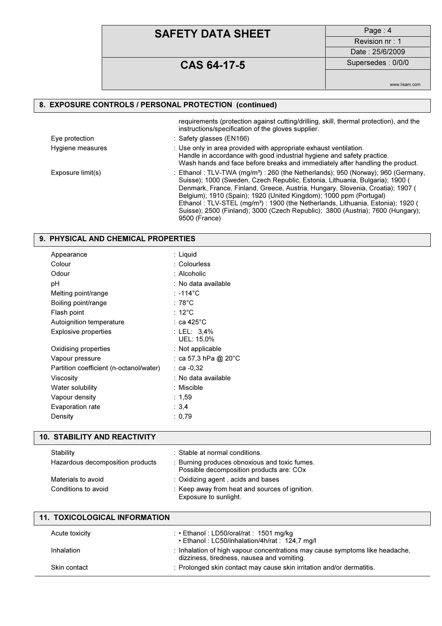## CAS 64-17-5 Supersedes : 0/0/0

Revision nr : 1

Date : 25/6/2009

www.lisam.com

#### 8. EXPOSURE CONTROLS / PERSONAL PROTECTION (continued)

|                   | requirements (protection against cutting/drilling, skill, thermal protection), and the<br>instructions/specification of the gloves supplier.                                                                                                                                                                                                                                                                                                                                                                                          |
|-------------------|---------------------------------------------------------------------------------------------------------------------------------------------------------------------------------------------------------------------------------------------------------------------------------------------------------------------------------------------------------------------------------------------------------------------------------------------------------------------------------------------------------------------------------------|
| Eye protection    | : Safety glasses (EN166)                                                                                                                                                                                                                                                                                                                                                                                                                                                                                                              |
| Hygiene measures  | : Use only in area provided with appropriate exhaust ventilation.<br>Handle in accordance with good industrial hygiene and safety practice.<br>Wash hands and face before breaks and immediately after handling the product.                                                                                                                                                                                                                                                                                                          |
| Exposure limit(s) | : Ethanol: TLV-TWA (mg/m <sup>3</sup> ): 260 (the Netherlands): 950 (Norway): 960 (Germany,<br>Suisse); 1000 (Sweden, Czech Republic, Estonia, Lithuania, Bulgaria); 1900 (<br>Denmark, France, Finland, Greece, Austria, Hungary, Slovenia, Croatia); 1907 (<br>Belgium); 1910 (Spain); 1920 (United Kingdom); 1000 ppm (Portugal)<br>Ethanol: TLV-STEL (mg/m <sup>3</sup> ): 1900 (the Netherlands, Lithuania, Estonia); 1920 (<br>Suisse); 2500 (Finland); 3000 (Czech Republic); 3800 (Austria); 7600 (Hungary);<br>9500 (France) |

### 9. PHYSICAL AND CHEMICAL PROPERTIES

| Appearance                              | : Liquid                  |
|-----------------------------------------|---------------------------|
| Colour                                  | : Colourless              |
| Odour                                   | : Alcoholic               |
| рH                                      | : No data available       |
| Melting point/range                     | : -114°C                  |
| Boiling point/range                     | : 78°C                    |
| Flash point                             | :12°C                     |
| Autoignition temperature                | ∶ ca 425°C                |
| <b>Explosive properties</b>             | : LEL: 3.4%<br>UEL: 15,0% |
| Oxidising properties                    | : Not applicable          |
| Vapour pressure                         | : ca 57,3 hPa @ 20°C      |
| Partition coefficient (n-octanol/water) | : ca -0,32                |
| Viscosity                               | : No data available       |
| Water solubility                        | :Miscible                 |
| Vapour density                          | :1,59                     |
| Evaporation rate                        | :3,4                      |
| Density                                 | : 0,79                    |

### 10. STABILITY AND REACTIVITY

| Stability<br>Hazardous decomposition products | : Stable at normal conditions.<br>: Burning produces obnoxious and toxic fumes.<br>Possible decomposition products are: COx |
|-----------------------------------------------|-----------------------------------------------------------------------------------------------------------------------------|
| Materials to avoid                            | : Oxidizing agent, acids and bases                                                                                          |
| Conditions to avoid                           | : Keep away from heat and sources of ignition.<br>Exposure to sunlight.                                                     |

| <b>11. TOXICOLOGICAL INFORMATION</b> |                                                                                                                            |  |
|--------------------------------------|----------------------------------------------------------------------------------------------------------------------------|--|
| Acute toxicity                       | : $\cdot$ Ethanol : LD50/oral/rat : 1501 mg/kg<br>• Ethanol: LC50/inhalation/4h/rat: 124,7 mg/l                            |  |
| Inhalation                           | : Inhalation of high vapour concentrations may cause symptoms like headache.<br>dizziness, tiredness, nausea and vomiting. |  |
| Skin contact                         | : Prolonged skin contact may cause skin irritation and/or dermatitis.                                                      |  |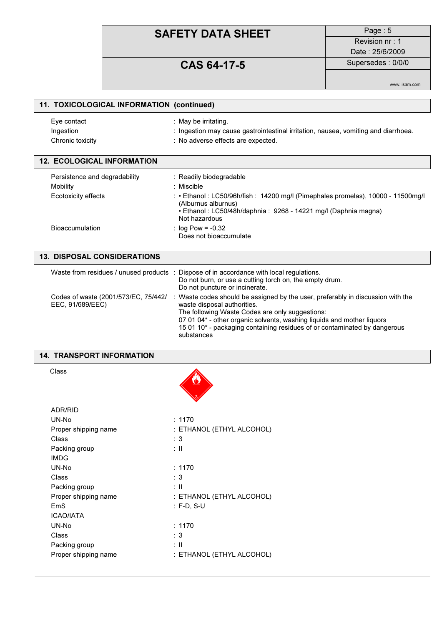Revision nr : 1

## CAS 64-17-5 Supersedes : 0/0/0

Date : 25/6/2009

www.lisam.com

| 11. TOXICOLOGICAL INFORMATION (continued) |                                                                                    |  |
|-------------------------------------------|------------------------------------------------------------------------------------|--|
| Eye contact                               | : May be irritating.                                                               |  |
| Ingestion                                 | : Ingestion may cause gastrointestinal irritation, nausea, vomiting and diarrhoea. |  |
| Chronic toxicity                          | : No adverse effects are expected.                                                 |  |
| <b>12. ECOLOGICAL INFORMATION</b>         |                                                                                    |  |

| Persistence and degradability | : Readily biodegradable                                                                                                                                                                     |
|-------------------------------|---------------------------------------------------------------------------------------------------------------------------------------------------------------------------------------------|
| Mobility                      | : Miscible                                                                                                                                                                                  |
| Ecotoxicity effects           | : • Ethanol : LC50/96h/fish : 14200 mg/l (Pimephales promelas), 10000 - 11500mg/l<br>(Alburnus alburnus)<br>• Ethanol: LC50/48h/daphnia: 9268 - 14221 mg/l (Daphnia magna)<br>Not hazardous |
| <b>Bioaccumulation</b>        | : $log Pow = -0,32$<br>Does not bioaccumulate                                                                                                                                               |

| <b>13. DISPOSAL CONSIDERATIONS</b>                       |                                                                                                                                                                                                                                                                                                                                        |  |  |  |
|----------------------------------------------------------|----------------------------------------------------------------------------------------------------------------------------------------------------------------------------------------------------------------------------------------------------------------------------------------------------------------------------------------|--|--|--|
|                                                          | Waste from residues / unused products : Dispose of in accordance with local regulations.<br>Do not burn, or use a cutting torch on, the empty drum.<br>Do not puncture or incinerate.                                                                                                                                                  |  |  |  |
| Codes of waste (2001/573/EC, 75/442/<br>EEC, 91/689/EEC) | : Waste codes should be assigned by the user, preferably in discussion with the<br>waste disposal authorities.<br>The following Waste Codes are only suggestions:<br>07 01 04* - other organic solvents, washing liquids and mother liquors<br>15 01 10* - packaging containing residues of or contaminated by dangerous<br>substances |  |  |  |

**d** 

#### 14. TRANSPORT INFORMATION

Class

| ADR/RID              |                           |
|----------------------|---------------------------|
| UN-No                | : 1170                    |
| Proper shipping name | : ETHANOL (ETHYL ALCOHOL) |
| Class                | : 3                       |
| Packing group        | : II                      |
| <b>IMDG</b>          |                           |
| UN-No                | : 1170                    |
| Class                | : 3                       |
| Packing group        | : II                      |
| Proper shipping name | : ETHANOL (ETHYL ALCOHOL) |
| EmS                  | : F-D. S-U                |
| <b>ICAO/IATA</b>     |                           |
| UN-No                | : 1170                    |
| Class                | : 3                       |
| Packing group        | : II                      |
| Proper shipping name | : ETHANOL (ETHYL ALCOHOL) |